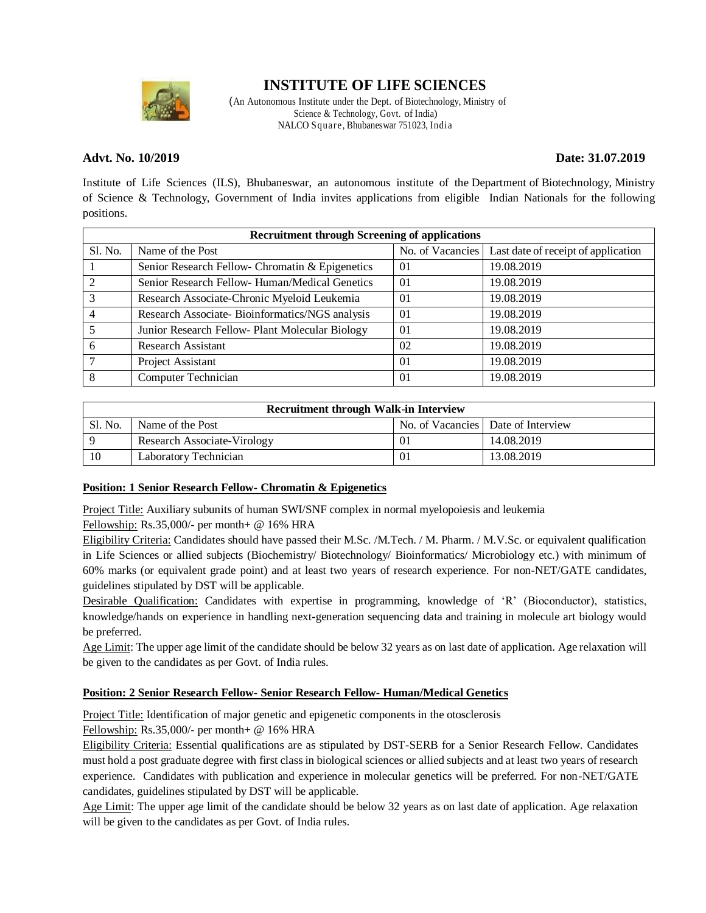

## **INSTITUTE OF LIFE SCIENCES**

(An Autonomous Institute under the Dept. of Biotechnology, Ministry of Science & Technology, Govt. of India) NALCO Square, Bhubaneswar 751023, India

#### **Advt. No. 10/2019 Date: 31.07.2019**

Institute of Life Sciences (ILS), Bhubaneswar, an autonomous institute of the Department of Biotechnology, Ministry of Science & Technology, Government of India invites applications from eligible Indian Nationals for the following positions.

| <b>Recruitment through Screening of applications</b> |                                                 |    |                                                        |  |
|------------------------------------------------------|-------------------------------------------------|----|--------------------------------------------------------|--|
| Sl. No.                                              | Name of the Post                                |    | No. of Vacancies   Last date of receipt of application |  |
|                                                      | Senior Research Fellow- Chromatin & Epigenetics | 01 | 19.08.2019                                             |  |
| 2                                                    | Senior Research Fellow- Human/Medical Genetics  | 01 | 19.08.2019                                             |  |
| 3                                                    | Research Associate-Chronic Myeloid Leukemia     | 01 | 19.08.2019                                             |  |
| 4                                                    | Research Associate-Bioinformatics/NGS analysis  | 01 | 19.08.2019                                             |  |
|                                                      | Junior Research Fellow- Plant Molecular Biology | 01 | 19.08.2019                                             |  |
| 6                                                    | Research Assistant                              | 02 | 19.08.2019                                             |  |
| 7                                                    | Project Assistant                               | 01 | 19.08.2019                                             |  |
| 8                                                    | <b>Computer Technician</b>                      | 01 | 19.08.2019                                             |  |

| <b>Recruitment through Walk-in Interview</b> |                             |    |                                      |  |
|----------------------------------------------|-----------------------------|----|--------------------------------------|--|
| Sl. No.                                      | Name of the Post            |    | No. of Vacancies   Date of Interview |  |
|                                              | Research Associate-Virology | 01 | 14.08.2019                           |  |
| 10                                           | Laboratory Technician       | 01 | 13.08.2019                           |  |

#### **Position: 1 Senior Research Fellow- Chromatin & Epigenetics**

Project Title: Auxiliary subunits of human SWI/SNF complex in normal myelopoiesis and leukemia

Fellowship: Rs.35,000/- per month+ @ 16% HRA

Eligibility Criteria: Candidates should have passed their M.Sc. /M.Tech. / M. Pharm. / M.V.Sc. or equivalent qualification in Life Sciences or allied subjects (Biochemistry/ Biotechnology/ Bioinformatics/ Microbiology etc.) with minimum of 60% marks (or equivalent grade point) and at least two years of research experience. For non-NET/GATE candidates, guidelines stipulated by DST will be applicable.

Desirable Qualification: Candidates with expertise in programming, knowledge of 'R' (Bioconductor), statistics, knowledge/hands on experience in handling next-generation sequencing data and training in molecule art biology would be preferred.

Age Limit: The upper age limit of the candidate should be below 32 years as on last date of application. Age relaxation will be given to the candidates as per Govt. of India rules.

#### **Position: 2 Senior Research Fellow- Senior Research Fellow- Human/Medical Genetics**

Project Title: Identification of major genetic and epigenetic components in the otosclerosis

Fellowship: Rs.35,000/- per month+ @ 16% HRA

Eligibility Criteria: Essential qualifications are as stipulated by DST-SERB for a Senior Research Fellow. Candidates must hold a post graduate degree with first class in biological sciences or allied subjects and at least two years of research experience. Candidates with publication and experience in molecular genetics will be preferred. For non-NET/GATE candidates, guidelines stipulated by DST will be applicable.

Age Limit: The upper age limit of the candidate should be below 32 years as on last date of application. Age relaxation will be given to the candidates as per Govt. of India rules.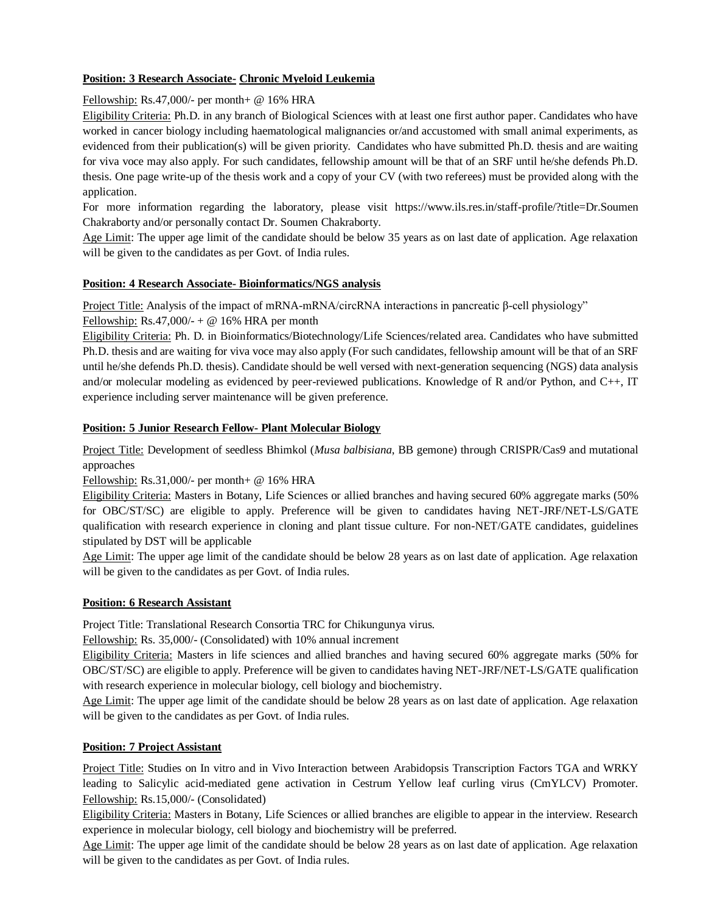### **Position: 3 Research Associate- Chronic Myeloid Leukemia**

#### Fellowship: Rs.47,000/- per month+ @ 16% HRA

Eligibility Criteria: Ph.D. in any branch of Biological Sciences with at least one first author paper. Candidates who have worked in cancer biology including haematological malignancies or/and accustomed with small animal experiments, as evidenced from their publication(s) will be given priority. Candidates who have submitted Ph.D. thesis and are waiting for viva voce may also apply. For such candidates, fellowship amount will be that of an SRF until he/she defends Ph.D. thesis. One page write-up of the thesis work and a copy of your CV (with two referees) must be provided along with the application.

For more information regarding the laboratory, please visit https://www.ils.res.in/staff-profile/?title=Dr.Soumen Chakraborty and/or personally contact Dr. Soumen Chakraborty.

Age Limit: The upper age limit of the candidate should be below 35 years as on last date of application. Age relaxation will be given to the candidates as per Govt. of India rules.

#### **Position: 4 Research Associate- Bioinformatics/NGS analysis**

Project Title: Analysis of the impact of mRNA-mRNA/circRNA interactions in pancreatic β-cell physiology" Fellowship: Rs.47,000/- +  $\omega$  16% HRA per month

Eligibility Criteria: Ph. D. in Bioinformatics/Biotechnology/Life Sciences/related area. Candidates who have submitted Ph.D. thesis and are waiting for viva voce may also apply (For such candidates, fellowship amount will be that of an SRF until he/she defends Ph.D. thesis). Candidate should be well versed with next-generation sequencing (NGS) data analysis and/or molecular modeling as evidenced by peer-reviewed publications. Knowledge of R and/or Python, and C++, IT experience including server maintenance will be given preference.

#### **Position: 5 Junior Research Fellow- Plant Molecular Biology**

Project Title: Development of seedless Bhimkol (*Musa balbisiana*, BB gemone) through CRISPR/Cas9 and mutational approaches

Fellowship: Rs.31,000/- per month+ @ 16% HRA

Eligibility Criteria: Masters in Botany, Life Sciences or allied branches and having secured 60% aggregate marks (50% for OBC/ST/SC) are eligible to apply. Preference will be given to candidates having NET-JRF/NET-LS/GATE qualification with research experience in cloning and plant tissue culture. For non-NET/GATE candidates, guidelines stipulated by DST will be applicable

Age Limit: The upper age limit of the candidate should be below 28 years as on last date of application. Age relaxation will be given to the candidates as per Govt. of India rules.

#### **Position: 6 Research Assistant**

Project Title: Translational Research Consortia TRC for Chikungunya virus.

Fellowship: Rs. 35,000/- (Consolidated) with 10% annual increment

Eligibility Criteria: Masters in life sciences and allied branches and having secured 60% aggregate marks (50% for OBC/ST/SC) are eligible to apply. Preference will be given to candidates having NET-JRF/NET-LS/GATE qualification with research experience in molecular biology, cell biology and biochemistry.

Age Limit: The upper age limit of the candidate should be below 28 years as on last date of application. Age relaxation will be given to the candidates as per Govt. of India rules.

#### **Position: 7 Project Assistant**

Project Title: Studies on In vitro and in Vivo Interaction between Arabidopsis Transcription Factors TGA and WRKY leading to Salicylic acid-mediated gene activation in Cestrum Yellow leaf curling virus (CmYLCV) Promoter. Fellowship: Rs.15,000/- (Consolidated)

Eligibility Criteria: Masters in Botany, Life Sciences or allied branches are eligible to appear in the interview. Research experience in molecular biology, cell biology and biochemistry will be preferred.

Age Limit: The upper age limit of the candidate should be below 28 years as on last date of application. Age relaxation will be given to the candidates as per Govt. of India rules.